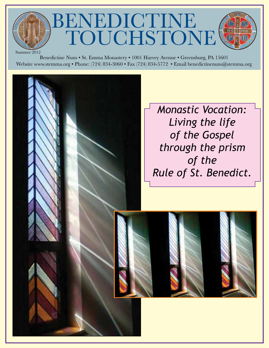

Benedictine Nuns • St. Emma Monastery • 1001 Harvey Avenue • Greensburg, PA 15601 Website www.stemma.org • Phone: (724) 834-3060 • Fax (724) 834-5772 • Email benedictinenuns@stemma.org

> *Monastic Vocation: Living the life of the Gospel through the prism of the Rule of St. Benedict.*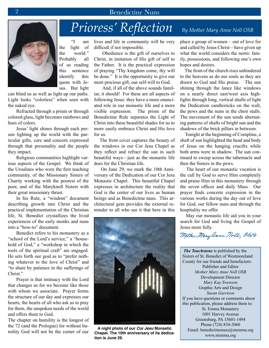

 "I am the light of the world." Probably all of us reading this sentence identify this quote with Jesus. But light

can blind us as well as light up our paths. Light looks "colorless" when seen with the naked eye.

Refracted through a prism or through colored glass, light becomes rainbows and hues of colors.

Jesus' light shines through each person lighting up the world with the particular gifts, care and concern expressed through that personality and the people they impact.

Religious communities highlight various aspects of the Gospel. We think of the Ursulines who were the first teaching community, of the Missionary Sisters of Charity working with the poorest of the poor, and of the Maryknoll Sisters with their great missionary thrust.

In his Rule, a "wisdom" document describing growth into Christ and the practical implementation of the Christian life, St. Benedict crystallizes the lived experiences of the early monks and nuns into a "how-to" document.

Benedict refers to his monastery as a "school of the Lord's service," a "household of God," a "workshop in which the tools of the spiritual craft" are engaged. He sets forth our goal as to "prefer nothing whatever to the love of Christ" and "to share by patience in the sufferings of Christ."

Prayer is that intimacy with the Lord that changes us for we become like those with whom we associate. Prayer forms the structure of our day and expresses our hearts, the hearts of all who ask us to pray for them, the unspoken needs of the world and offers them to God.

The chapter on humility is the longest of the 72 (and the Prologue) for without humility God will not be the center of our

lives and life in community will be very difficult if not impossible.

Obedience is the gift of ourselves to Christ, in imitation of His gift of self to the Father. It is the practical expression of praying "Thy kingdom come, thy will be done." It is the opportunity to give our most precious gift, our self-will to God.

And, if all of the above sounds familiar, it should! For these are all aspects of following Jesus: they have a more enunciated role in our monastic life and a more visible expression. The prism of the Benedictine Rule separates the Light of Christ into these beautiful shades for us to more easily embrace Christ and His love for us.

 The front cover captures the beauty of the windows in our Cor Jesu Chapel as they reflect and refract the sun in such beautiful ways—just as the monastic life does for the Christian life.

 On June 29, we mark the 10th Anniversary of the Dedication of our Cor Jesu Monastic Chapel. This beautiful Chapel expresses in architecture the reality that God is the center of our lives as human beings and as Benedictine nuns. This architectural gem provides the external reminder to all who see it that here in this



 **A night photo of our Cor Jesu Monastic Chapel. The 10th anniversary of its dedication is June 29.**

# *Prioress' Reflection* By Mother Mary Anne Noll OSB

place a group of women – out of love for and called by Jesus Christ—have given up what the world considers the norm: family, possessions, and following one's own hopes and desires.

 The front of the church rises unhindered to the heavens as do our souls as they are drawn to God and His praise. The sun shining through the lance like windows on a nearly direct east/west axis highlights through long, vertical shafts of light the Dedication candlesticks on the wall, the pews and the nuns in the choir stalls. The movement of the sun sends alternating patterns of shafts of bright sun and the shadows of the brick pillars in between.

 Tonight at the beginning of Compline, a shaft of sun highlighted the head and body of Jesus on the hanging crucifix while both arms were in shadow. The sun continued to sweep across the tabernacle and then the Sisters in the pews.

 The heart of our monastic vocation is the call by God to serve Him completely and praise Him in this monastery through the seven offices and daily Mass. Our prayer finds concrete expression in the various works during the day out of love for God, our fellow nuns and through the hospitality we offer.

 May our monastic life aid you in your search for God and living the Gospel of Jesus more fully.

Mother Mery anne Noll, OSB

 *The Touchstone* is published by the Sisters of St. Benedict of Westmoreland County for our friends and benefactors: Publisher and Editor *Mother Mary Anne Noll OSB* Development Director *Mary Kay Swenson* Graphic Arts and Design *Susan Garrison* If you have questions or comments about this publication, please address them to: St. Emma Monastery 1001 Harvey Avenue Greensburg, PA 15601-1494 Phone (724) 834-3060 Email: benedictinenuns@stemma.org www.stemma.org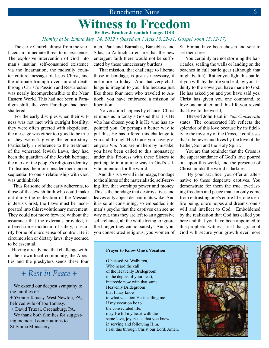### **Witness to Freedom By Rev. Brother Jeremiah Lange, OSB**

#### *Homily at St. Emma May 14, 2012 • (based on 1 Acts 15:22-31, Gospel John 15:12-17)*

 The early Church almost from the start faced an immediate threat to its existence. The explosive intervention of God into man's insular, self-consumed existence via the Incarnation, the radically counter culture message of Jesus Christ, and the ultimate triumph over sin and death through Christ's Passion and Resurrection was nearly incomprehensible to the Near Eastern World. This had not been a Paradigm shift, the very Paradigm had been shattered.

 For the early disciples when their witness was not met with outright hostility, they were often greeted with skepticism, the message was either too good to be true or they weren't giving the entire story. Particularly in reference to the treatment of the venerated Jewish Laws, they had been the guardian of the Jewish heritage, the mark of the people's religious identity. To dismiss them or consider them inconsequential to one's relationship with God was unthinkable.

 Thus for some of the early adherents, to those of the Jewish faith who could make out dimly the realization of the Messiah in Jesus Christ, the Laws must be incorporated into this revolutionary movement. They could not move forward without the assurance that the externals provided, it offered some modicum of safety, a security borne of one's sense of control. Be it circumcision or dietary laws, they seemed to be essential.

 Having already met that challenge within their own local community, the Apostles and the presbyters sends these four

### *+ Rest in Peace +*

 We extend our deepest sympathy to the families of: + Yvonne Tamasy, West Newton, PA, beloved wife of Joe Tamasy. + David Truxal, Greensburg, PA. We thank both families for suggesting memorial contributions to

St Emma Monastery.

men, Paul and Barnabas, Barsabbas and Silas, to Antioch to ensure that the new emergent faith there would not be suffocated by these unnecessary burdens.

 That mission, that challenge to liberate those in bondage, is just as necessary, if not more so today. And that very challenge is integral to your life because just like those four men who traveled to Antioch, you have embraced a mission of liberation.

 No vocation happens by chance. Christ reminds us in today's Gospel that it is He who has chosen you; it is He who has appointed you. Or perhaps a better way to put this, He has offered this challenge to you and through His Grace you have given your *Fiat*. You are not here by mistake, you have been called to this monastery, under this Prioress with these Sisters to participate in a unique way in God's salvific intention for the world.

 And this is a world in bondage, bondage to the allures of the materialistic, self-serving life, that worships power and money. This is the bondage that destroys lives and leaves only abject despair in its wake. And it is so all consuming, so embedded into man's psyche that the captives can see no way out, thus they are left to an aggressive self-reliance, all the while trying to ignore the hunger they cannot satisfy. And you, you consecrated religious, you women of St. Emma, have been chosen and sent to set them free.

 You certainly are not storming the barricades, scaling the walls or landing on the beaches in full battle gear (although that might be fun). Rather you fight this battle, if you will, by the life you lead, by your fidelity to the vows you have made to God. He has asked you and you have said yes. Christ has given you one command, to love one another, and this life you reveal that love to the world,

 Blessed John Paul in *Vita Consecrata*  states: The consecrated life reflects the splendor of this love because by its fidelity to the mystery of the Cross, it confesses that it believes and lives by the love of the Father, Son and the Holy Spirit.

 You are that reminder that the Cross is the superabundance of God's love poured out upon this world, and the presence of Christ amidst the world's darkness.

 By your sacrifice, you offer an alternative to these desperate captives. You demonstrate for them the true, everlasting freedom and peace that can only come from entrusting one's entire life, one's entire being, one's hopes and dreams, one's will and intellect to God. Emboldened by the realization that God has called you here and that you have been appointed to this prophetic witness, trust that grace of God will secure your growth ever more

#### **Prayer to Know One's Vocation**

O blessed St. Walburga, Who heard the call of the Heavenly Bridegroom in the depths of your heart, intercede now with that same Heavenly Bridegroom that I may know to what vocation He is calling me. If my vocation be to the consecrated life, may He fill my heart with the same love, joy, peace that you knew in serving and following Him. I ask this through Christ our Lord. Amen.

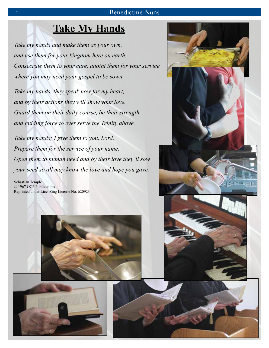# **Take My Hands**

*Take my hands and make them as your own, and use them for your kingdom here on earth. Consecrate them to your care, anoint them for your service where you may need your gospel to be sown.* 

*Take my hands, they speak now for my heart, and by their actions they will show your love. Guard them on their daily course, be their strength and guiding force to ever serve the Trinity above.* 

*Take my hands; I give them to you, Lord. Prepare them for the service of your name. Open them to human need and by their love they'll sow your seed so all may know the love and hope you gave.* 

Sebastian Temple © 1967 OCP Publications Reprinted under LicenSing License No. 620923



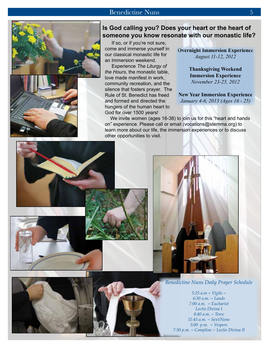

#### **Is God calling you? Does your heart or the heart of someone you know resonate with our monastic life?**

 If so, or if you're not sure, come and immerse yourself in our classical monastic life for an Immersion weekend.

 Experience *The Liturgy of the Hours*, the monastic table, love made manifest in work, community recreation, and the silence that fosters prayer. The Rule of St. Benedict has freed and formed and directed the hungers of the human heart to God for over 1500 years!

**Overnight Immersion Experience** *August 11-12, 2012*

> **Thanksgiving Weekend Immersion Experience** *November 23-25, 2012*

**New Year Immersion Experience** *January 4-6, 2013 (Ages 16 - 25)*

 We invite women (ages 16-38) to join us for this "heart and hands on" experience. Please call or email (vocations@stemma.org) to learn more about our life, the immersion experiences or to discuss other opportunities to visit.







*5:25 a.m ~ Vigils ~ 6:30 a.m. ~ Lauds 7:00 a.m. ~ Eucharist Lectio Divina I 8:40 a.m. ~ Terce 11:45 a.m. ~ Sext/None 5:00 p.m. ~ Vespers 7:30 p.m. ~ Compline ~ Lectio Divina II*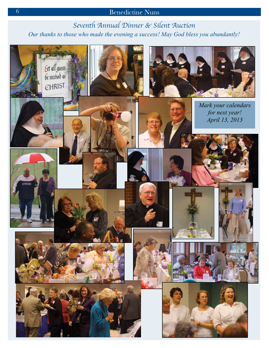Seventh Annual Dinner & Silent Auction *Our thanks to those who made the evening a success! May God bless you abundantly!*

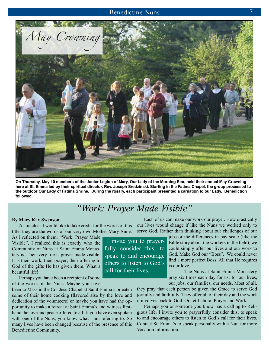

**On Thursday, May 10 members of the Junior Legion of Mary, Our Lady of the Morning Star, held their annual May Crowning here at St. Emma led by their spiritual director, Rev. Joseph Sredzinski. Starting in the Fatima Chapel, the group processed to the outdoor Our Lady of Fatima Shrine. During the rosary, each participant presented a carnation to our Lady. Benediction followed.**

# *"Work: Prayer Made Visible"*

#### **By Mary Kay Swenson**

As much as I would like to take credit for the words of this title, they are the words of our very own Mother Mary Anne.

As I reflected on them: "Work: Prayer Made Visible", I realized this is exactly who the Community of Nuns at Saint Emma Monastery is. Their very life is prayer made visible. It is their work; their prayer; their offering to God of the gifts He has given them. What a beautiful life!

Perhaps you have been a recipient of some of the works of the Nuns. Maybe you have

been to Mass in the Cor Jesu Chapel at Saint Emma's or eaten some of their home cooking (flavored also by the love and dedication of the volunteers) or maybe you have had the opportunity to make a retreat at Saint Emma's and witness firsthand the love and peace offered to all. If you have even spoken with one of the Nuns, you know what I am referring to. So many lives have been changed because of the presence of this Benedictine Community.

Each of us can make our work our prayer. How drastically our lives would change if like the Nuns we worked only to serve God. Rather than thinking about our challenges of our

 I invite you to prayerfully consider this, to speak to and encourage others to listen to God's call for their lives.

jobs or the differences in pay scale (like the Bible story about the workers in the field), we could simply offer our lives and our work to God. Make God our "Boss". We could never find a more perfect Boss. All that He requires is our love.

The Nuns at Saint Emma Monastery pray six times each day for us: for our lives, our jobs, our families, our needs. Most of all,

they pray that each person be given the Grace to serve God joyfully and faithfully. They offer all of their day and the work it involves back to God. Ora et Labora. Prayer and Work.

Perhaps you or someone you know has a calling to Religious life. I invite you to prayerfully consider this, to speak to and encourage others to listen to God's call for their lives. Contact St. Emma's to speak personally with a Nun for more Vocation information.